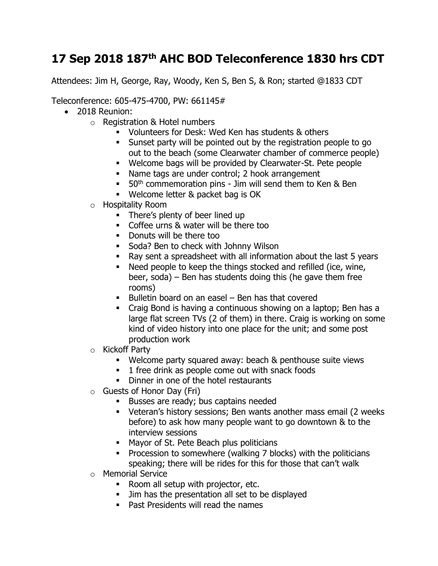## **17 Sep 2018 187th AHC BOD Teleconference 1830 hrs CDT**

Attendees: Jim H, George, Ray, Woody, Ken S, Ben S, & Ron; started @1833 CDT

Teleconference: 605-475-4700, PW: 661145#

- 2018 Reunion:
	- o Registration & Hotel numbers
		- Volunteers for Desk: Wed Ken has students & others
		- Sunset party will be pointed out by the registration people to go out to the beach (some Clearwater chamber of commerce people)
		- Welcome bags will be provided by Clearwater-St. Pete people
		- Name tags are under control; 2 hook arrangement
		- $\bullet$  50<sup>th</sup> commemoration pins Jim will send them to Ken & Ben
		- Welcome letter & packet bag is OK
	- o Hospitality Room
		- There's plenty of beer lined up
		- Coffee urns & water will be there too
		- Donuts will be there too
		- **Soda? Ben to check with Johnny Wilson**
		- Ray sent a spreadsheet with all information about the last 5 years
		- Need people to keep the things stocked and refilled (ice, wine, beer, soda) – Ben has students doing this (he gave them free rooms)
		- Bulletin board on an easel Ben has that covered
		- Craig Bond is having a continuous showing on a laptop; Ben has a large flat screen TVs (2 of them) in there. Craig is working on some kind of video history into one place for the unit; and some post production work
	- o Kickoff Party
		- Welcome party squared away: beach & penthouse suite views
		- 1 free drink as people come out with snack foods
		- **•** Dinner in one of the hotel restaurants
	- o Guests of Honor Day (Fri)
		- Busses are ready; bus captains needed
		- Veteran's history sessions; Ben wants another mass email (2 weeks before) to ask how many people want to go downtown & to the interview sessions
		- Mayor of St. Pete Beach plus politicians
		- **•** Procession to somewhere (walking 7 blocks) with the politicians speaking; there will be rides for this for those that can't walk
	- o Memorial Service
		- Room all setup with projector, etc.
		- **.** Jim has the presentation all set to be displayed
		- Past Presidents will read the names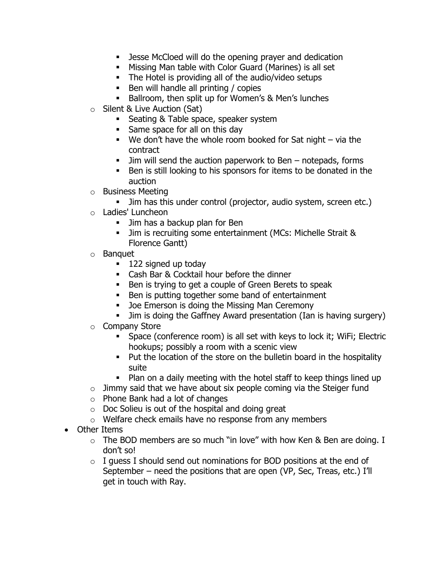- Jesse McCloed will do the opening prayer and dedication
- Missing Man table with Color Guard (Marines) is all set
- The Hotel is providing all of the audio/video setups
- Ben will handle all printing / copies
- Ballroom, then split up for Women's & Men's lunches
- o Silent & Live Auction (Sat)
	- Seating & Table space, speaker system
	- Same space for all on this day
	- $\blacksquare$  We don't have the whole room booked for Sat night via the contract
	- Jim will send the auction paperwork to Ben notepads, forms
	- Ben is still looking to his sponsors for items to be donated in the auction
- o Business Meeting
	- **.** Jim has this under control (projector, audio system, screen etc.)
- o Ladies' Luncheon
	- **■** Jim has a backup plan for Ben
	- Jim is recruiting some entertainment (MCs: Michelle Strait & Florence Gantt)
- o Banquet
	- 122 signed up today
	- Cash Bar & Cocktail hour before the dinner
	- Ben is trying to get a couple of Green Berets to speak
	- Ben is putting together some band of entertainment
	- Joe Emerson is doing the Missing Man Ceremony
	- **.** Jim is doing the Gaffney Award presentation (Ian is having surgery)
- o Company Store
	- Space (conference room) is all set with keys to lock it; WiFi; Electric hookups; possibly a room with a scenic view
	- Put the location of the store on the bulletin board in the hospitality suite
	- Plan on a daily meeting with the hotel staff to keep things lined up
- $\circ$  Jimmy said that we have about six people coming via the Steiger fund
- o Phone Bank had a lot of changes
- $\circ$  Doc Solieu is out of the hospital and doing great
- o Welfare check emails have no response from any members
- Other Items
	- $\circ$  The BOD members are so much "in love" with how Ken & Ben are doing. I don't so!
	- $\circ$  I guess I should send out nominations for BOD positions at the end of September – need the positions that are open (VP, Sec, Treas, etc.) I'll get in touch with Ray.